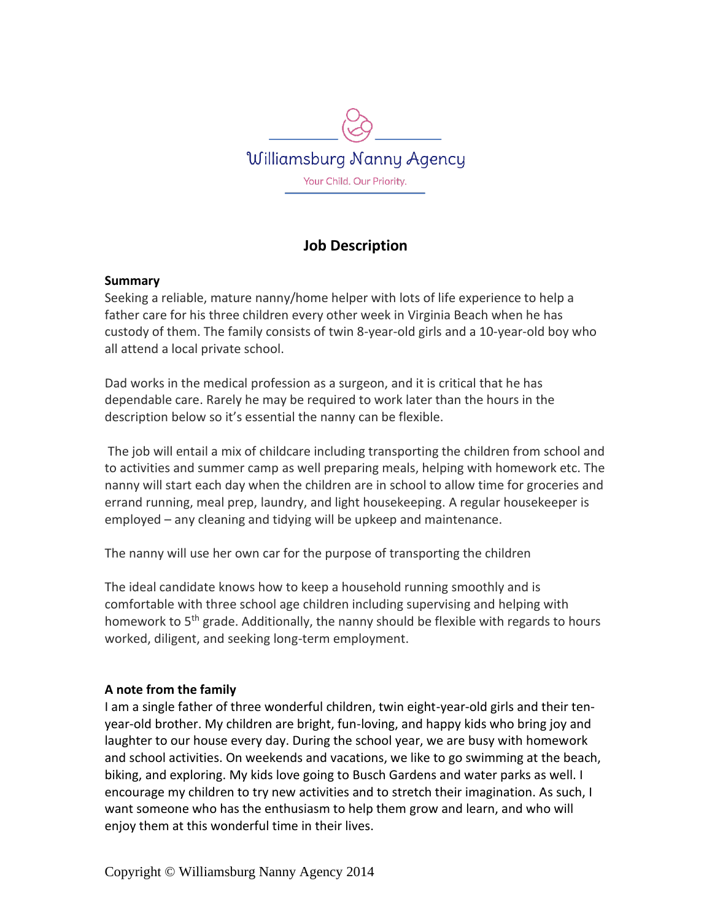

# **Job Description**

### **Summary**

Seeking a reliable, mature nanny/home helper with lots of life experience to help a father care for his three children every other week in Virginia Beach when he has custody of them. The family consists of twin 8-year-old girls and a 10-year-old boy who all attend a local private school.

Dad works in the medical profession as a surgeon, and it is critical that he has dependable care. Rarely he may be required to work later than the hours in the description below so it's essential the nanny can be flexible.

The job will entail a mix of childcare including transporting the children from school and to activities and summer camp as well preparing meals, helping with homework etc. The nanny will start each day when the children are in school to allow time for groceries and errand running, meal prep, laundry, and light housekeeping. A regular housekeeper is employed – any cleaning and tidying will be upkeep and maintenance.

The nanny will use her own car for the purpose of transporting the children

The ideal candidate knows how to keep a household running smoothly and is comfortable with three school age children including supervising and helping with homework to 5<sup>th</sup> grade. Additionally, the nanny should be flexible with regards to hours worked, diligent, and seeking long-term employment.

### **A note from the family**

I am a single father of three wonderful children, twin eight-year-old girls and their tenyear-old brother. My children are bright, fun-loving, and happy kids who bring joy and laughter to our house every day. During the school year, we are busy with homework and school activities. On weekends and vacations, we like to go swimming at the beach, biking, and exploring. My kids love going to Busch Gardens and water parks as well. I encourage my children to try new activities and to stretch their imagination. As such, I want someone who has the enthusiasm to help them grow and learn, and who will enjoy them at this wonderful time in their lives.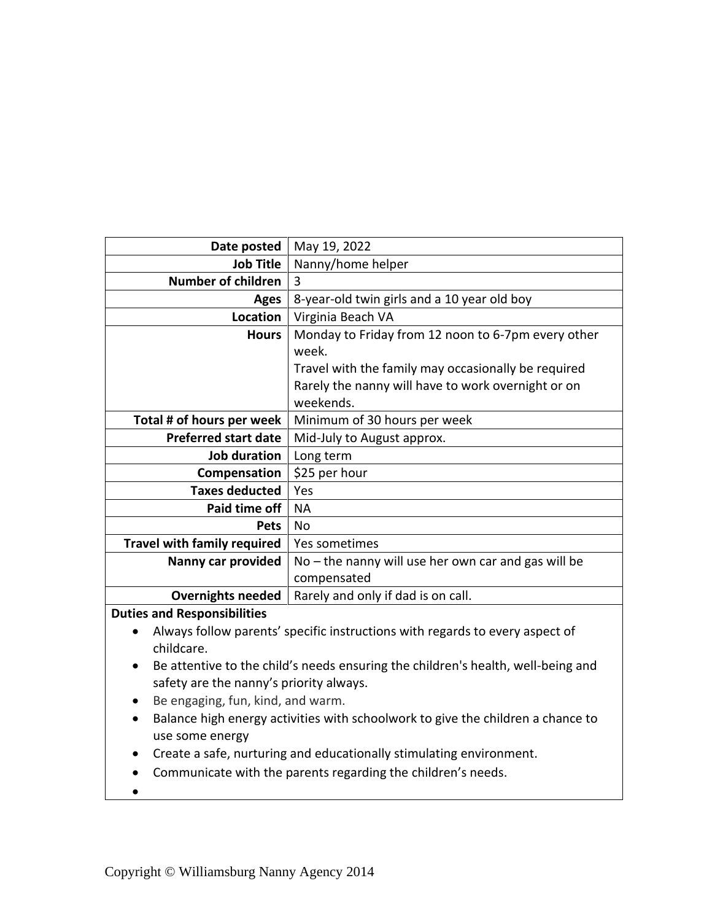| Date posted                        | May 19, 2022                                          |
|------------------------------------|-------------------------------------------------------|
| <b>Job Title</b>                   | Nanny/home helper                                     |
| <b>Number of children</b>          | 3                                                     |
| Ages                               | 8-year-old twin girls and a 10 year old boy           |
| Location                           | Virginia Beach VA                                     |
| <b>Hours</b>                       | Monday to Friday from 12 noon to 6-7pm every other    |
|                                    | week.                                                 |
|                                    | Travel with the family may occasionally be required   |
|                                    | Rarely the nanny will have to work overnight or on    |
|                                    | weekends.                                             |
| Total # of hours per week          | Minimum of 30 hours per week                          |
| <b>Preferred start date</b>        | Mid-July to August approx.                            |
| Job duration                       | Long term                                             |
| Compensation                       | \$25 per hour                                         |
| <b>Taxes deducted</b>              | Yes                                                   |
| Paid time off                      | <b>NA</b>                                             |
| <b>Pets</b>                        | No                                                    |
| <b>Travel with family required</b> | Yes sometimes                                         |
| Nanny car provided                 | $No$ – the nanny will use her own car and gas will be |
|                                    | compensated                                           |
| <b>Overnights needed</b>           | Rarely and only if dad is on call.                    |
| <b>Duties and Responsibilities</b> |                                                       |
|                                    |                                                       |

- Always follow parents' specific instructions with regards to every aspect of childcare.
- Be attentive to the child's needs ensuring the children's health, well-being and safety are the nanny's priority always.
- Be engaging, fun, kind, and warm.
- Balance high energy activities with schoolwork to give the children a chance to use some energy
- Create a safe, nurturing and educationally stimulating environment.
- Communicate with the parents regarding the children's needs.
- $\bullet$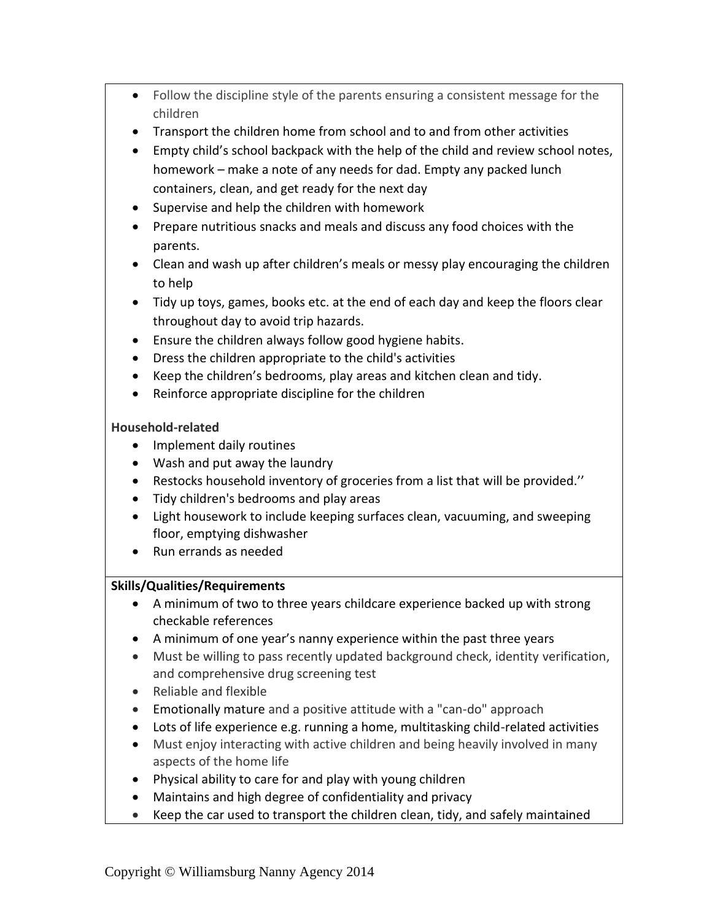- Follow the discipline style of the parents ensuring a consistent message for the children
- Transport the children home from school and to and from other activities
- Empty child's school backpack with the help of the child and review school notes, homework – make a note of any needs for dad. Empty any packed lunch containers, clean, and get ready for the next day
- Supervise and help the children with homework
- Prepare nutritious snacks and meals and discuss any food choices with the parents.
- Clean and wash up after children's meals or messy play encouraging the children to help
- Tidy up toys, games, books etc. at the end of each day and keep the floors clear throughout day to avoid trip hazards.
- Ensure the children always follow good hygiene habits.
- Dress the children appropriate to the child's activities
- Keep the children's bedrooms, play areas and kitchen clean and tidy.
- Reinforce appropriate discipline for the children

# **Household-related**

- Implement daily routines
- Wash and put away the laundry
- Restocks household inventory of groceries from a list that will be provided.''
- Tidy children's bedrooms and play areas
- Light housework to include keeping surfaces clean, vacuuming, and sweeping floor, emptying dishwasher
- Run errands as needed

# **Skills/Qualities/Requirements**

- A minimum of two to three years childcare experience backed up with strong checkable references
- A minimum of one year's nanny experience within the past three years
- Must be willing to pass recently updated background check, identity verification, and comprehensive drug screening test
- Reliable and flexible
- Emotionally mature and a positive attitude with a "can-do" approach
- Lots of life experience e.g. running a home, multitasking child-related activities
- Must enjoy interacting with active children and being heavily involved in many aspects of the home life
- Physical ability to care for and play with young children
- Maintains and high degree of confidentiality and privacy
- Keep the car used to transport the children clean, tidy, and safely maintained